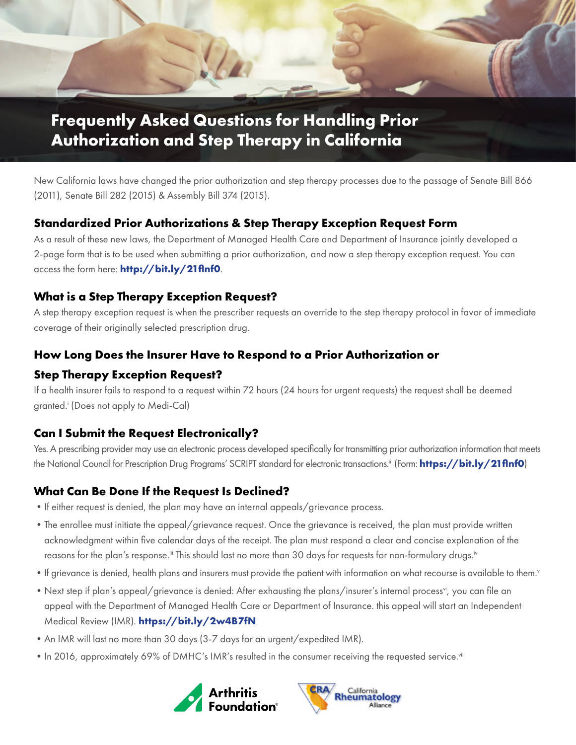

# **Frequently Asked Questions for Handling Prior Authorization and Step Therapy in California**

New California laws have changed the prior authorization and step therapy processes due to the passage of Senate Bill 866 (2011), Senate Bill 282 (2015) & Assembly Bill 374 (2015).

### **Standardized Prior Authorizations & Step Therapy Exception Request Form**

As a result of these new laws, the Department of Managed Health Care and Department of Insurance jointly developed a 2-page form that is to be used when submitting a prior authorization, and now a step therapy exception request. You can access the form here: **<http://bit.ly/21flnf0>**.

### **What is a Step Therapy Exception Request?**

A step therapy exception request is when the prescriber requests an override to the step therapy protocol in favor of immediate coverage of their originally selected prescription drug.

### **How Long Does the Insurer Have to Respond to a Prior Authorization or**

### **Step Therapy Exception Request?**

If a health insurer fails to respond to a request within 72 hours (24 hours for urgent requests) the request shall be deemed granted.i (Does not apply to Medi-Cal)

# **Can I Submit the Request Electronically?**

Yes. A prescribing provider may use an electronic process developed specifically for transmitting prior authorization information that meets the National Council for Prescription Drug Programs' SCRIPT standard for electronic transactions.ii (Form: **<https://bit.ly/21flnf0>**)

# **What Can Be Done If the Request Is Declined?**

- •If either request is denied, the plan may have an internal appeals/grievance process.
- •The enrollee must initiate the appeal/grievance request. Once the grievance is received, the plan must provide written acknowledgment within five calendar days of the receipt. The plan must respond a clear and concise explanation of the reasons for the plan's response.<sup>iii</sup> This should last no more than 30 days for requests for non-formulary drugs.<sup>iv</sup>
- If grievance is denied, health plans and insurers must provide the patient with information on what recourse is available to them.<sup>v</sup>
- Next step if plan's appeal/grievance is denied: After exhausting the plans/insurer's internal process<sup>vi</sup>, you can file an appeal with the Department of Managed Health Care or Department of Insurance. this appeal will start an Independent Medical Review (IMR). **<https://bit.ly/2w4B7fN>**
- •An IMR will last no more than 30 days (3-7 days for an urgent/expedited IMR).
- In 2016, approximately 69% of DMHC's IMR's resulted in the consumer receiving the requested service.<sup>vii</sup>